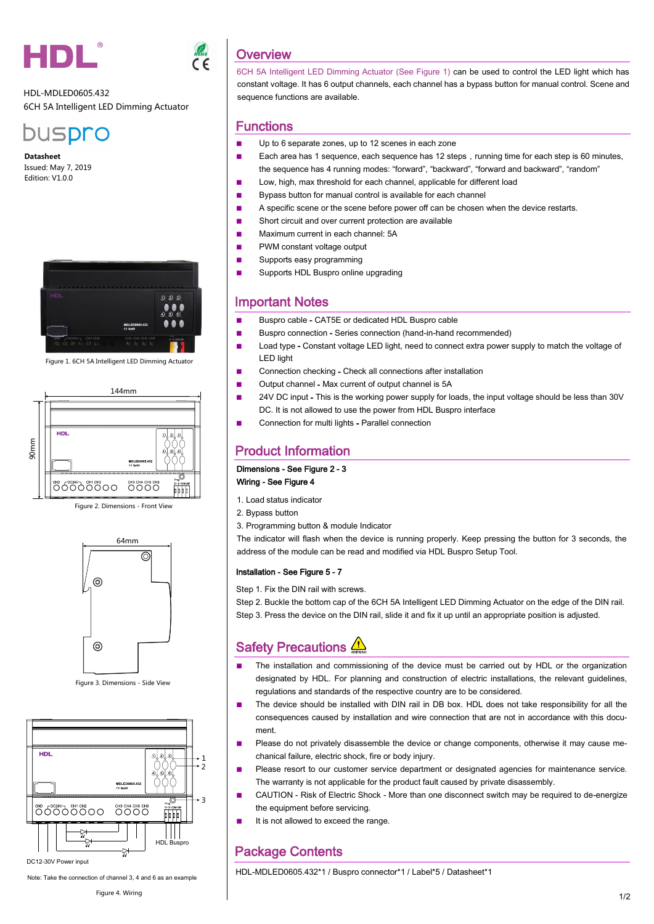

HDL-MDLED0605.432 6CH 5A Intelligent LED Dimming Actuator



**Datasheet** Issued: May 7, 2019 Edition: V1.0.0



Figure 1. 6CH 5A Intelligent LED Dimming Actuator



Figure 2. Dimensions - Front View



Figure 3. Dimensions - Side View



DC12-30V Power input

Note: Take the connection of channel 3, 4 and 6 as an example

## **Overview**

6CH 5A Intelligent LED Dimming Actuator (See Figure 1) can be used to control the LED light which has constant voltage. It has 6 output channels, each channel has a bypass button for manual control. Scene and sequence functions are available.

### **Functions**

- Up to 6 separate zones, up to 12 scenes in each zone
- Each area has 1 sequence, each sequence has 12 steps, running time for each step is 60 minutes, the sequence has 4 running modes: "forward", "backward", "forward and backward", "random"
- Low, high, max threshold for each channel, applicable for different load
- Bypass button for manual control is available for each channel
- A specific scene or the scene before power off can be chosen when the device restarts.
- Short circuit and over current protection are available
- Maximum current in each channel: 5A
- PWM constant voltage output
- Supports easy programming
- Supports HDL Buspro online upgrading

### Important Notes

- Buspro cable CAT5E or dedicated HDL Buspro cable
- Buspro connection Series connection (hand-in-hand recommended)
- Load type Constant voltage LED light, need to connect extra power supply to match the voltage of LED light
- Connection checking Check all connections after installation
- Output channel Max current of output channel is 5A
- 24V DC input This is the working power supply for loads, the input voltage should be less than 30V DC. It is not allowed to use the power from HDL Buspro interface
- Connection for multi lights Parallel connection

# Product Information

Dimensions - See Figure 2 - 3

#### Wiring - See Figure 4

- 1. Load status indicator
- 2. Bypass button
- 3. Programming button & module Indicator

The indicator will flash when the device is running properly. Keep pressing the button for 3 seconds, the address of the module can be read and modified via HDL Buspro Setup Tool.

#### Installation - See Figure 5 - 7

Step 1. Fix the DIN rail with screws.

Step 2. Buckle the bottom cap of the 6CH 5A Intelligent LED Dimming Actuator on the edge of the DIN rail. Step 3. Press the device on the DIN rail, slide it and fix it up until an appropriate position is adjusted.

# Safety Precautions  $\frac{\sqrt{1}}{2}$

- The installation and commissioning of the device must be carried out by HDL or the organization designated by HDL. For planning and construction of electric installations, the relevant guidelines, regulations and standards of the respective country are to be considered.
- The device should be installed with DIN rail in DB box. HDL does not take responsibility for all the consequences caused by installation and wire connection that are not in accordance with this document.
- Please do not privately disassemble the device or change components, otherwise it may cause mechanical failure, electric shock, fire or body injury.
- Please resort to our customer service department or designated agencies for maintenance service. The warranty is not applicable for the product fault caused by private disassembly.
- CAUTION Risk of Electric Shock More than one disconnect switch may be required to de-energize the equipment before servicing.
- It is not allowed to exceed the range.

# Package Contents

HDL-MDLED0605.432\*1 / Buspro connector\*1 / Label\*5 / Datasheet\*1